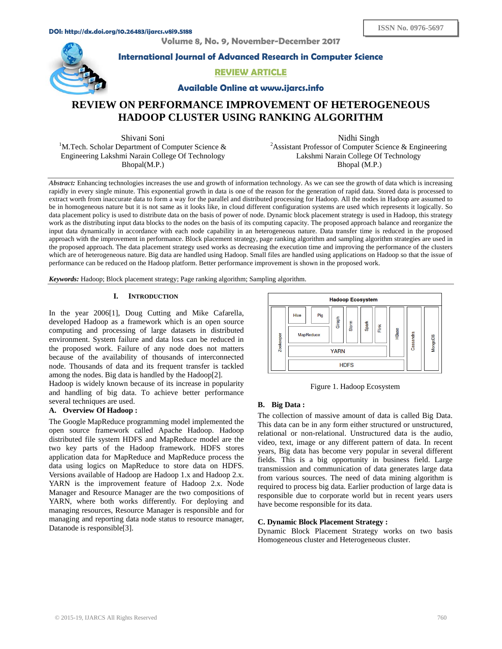**Volume 8, No. 9, November-December 2017** 



**International Journal of Advanced Research in Computer Science** 

**REVIEW ARTICLE**

**Available Online at www.ijarcs.info** 

# **REVIEW ON PERFORMANCE IMPROVEMENT OF HETEROGENEOUS HADOOP CLUSTER USING RANKING ALGORITHM**

Shivani Soni<br><sup>1</sup>M.Tech. Scholar Department of Computer Science & Engineering Lakshmi Narain College Of Technology Bhopal(M.P.)

Nidhi Singh <sup>2</sup> Assistant Professor of Computer Science & Engineering Lakshmi Narain College Of Technology Bhopal (M.P.)

*Abstract:* Enhancing technologies increases the use and growth of information technology. As we can see the growth of data which is increasing rapidly in every single minute. This exponential growth in data is one of the reason for the generation of rapid data. Stored data is processed to extract worth from inaccurate data to form a way for the parallel and distributed processing for Hadoop. All the nodes in Hadoop are assumed to be in homogeneous nature but it is not same as it looks like, in cloud different configuration systems are used which represents it logically. So data placement policy is used to distribute data on the basis of power of node. Dynamic block placement strategy is used in Hadoop, this strategy work as the distributing input data blocks to the nodes on the basis of its computing capacity. The proposed approach balance and reorganize the input data dynamically in accordance with each node capability in an heterogeneous nature. Data transfer time is reduced in the proposed approach with the improvement in performance. Block placement strategy, page ranking algorithm and sampling algorithm strategies are used in the proposed approach. The data placement strategy used works as decreasing the execution time and improving the performance of the clusters which are of heterogeneous nature. Big data are handled using Hadoop. Small files are handled using applications on Hadoop so that the issue of performance can be reduced on the Hadoop platform. Better performance improvement is shown in the proposed work.

*Keywords:* Hadoop; Block placement strategy; Page ranking algorithm; Sampling algorithm.

# **I. INTRODUCTION**

In the year 2006[1], Doug Cutting and Mike Cafarella, developed Hadoop as a framework which is an open source computing and processing of large datasets in distributed environment. System failure and data loss can be reduced in the proposed work. Failure of any node does not matters because of the availability of thousands of interconnected node. Thousands of data and its frequent transfer is tackled among the nodes. Big data is handled by the Hadoop[2].

Hadoop is widely known because of its increase in popularity and handling of big data. To achieve better performance several techniques are used.

# **A. Overview Of Hadoop :**

The Google MapReduce programming model implemented the open source framework called Apache Hadoop. Hadoop distributed file system HDFS and MapReduce model are the two key parts of the Hadoop framework. HDFS stores application data for MapReduce and MapReduce process the data using logics on MapReduce to store data on HDFS. Versions available of Hadoop are Hadoop 1.x and Hadoop 2.x. YARN is the improvement feature of Hadoop 2.x. Node Manager and Resource Manager are the two compositions of YARN, where both works differently. For deploying and managing resources, Resource Manager is responsible and for managing and reporting data node status to resource manager, Datanode is responsible[3].



Figure 1. Hadoop Ecosystem

# **B. Big Data :**

The collection of massive amount of data is called Big Data. This data can be in any form either structured or unstructured, relational or non-relational. Unstructured data is the audio, video, text, image or any different pattern of data. In recent years, Big data has become very popular in several different fields. This is a big opportunity in business field. Large transmission and communication of data generates large data from various sources. The need of data mining algorithm is required to process big data. Earlier production of large data is responsible due to corporate world but in recent years users have become responsible for its data.

# **C. Dynamic Block Placement Strategy :**

Dynamic Block Placement Strategy works on two basis Homogeneous cluster and Heterogeneous cluster.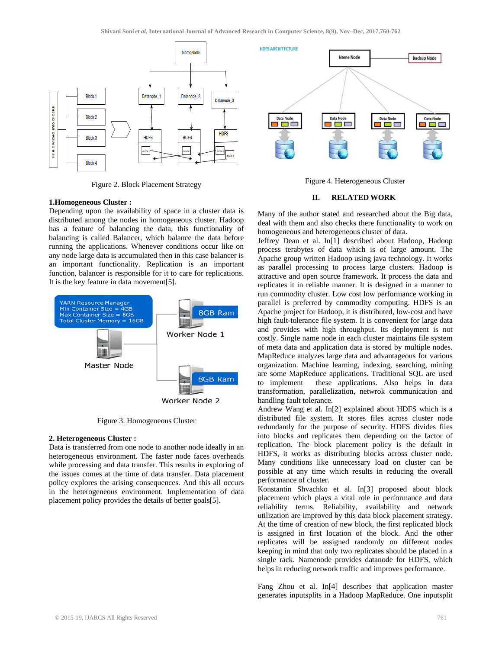

Figure 2. Block Placement Strategy

### **1.Homogeneous Cluster :**

Depending upon the availability of space in a cluster data is distributed among the nodes in homogeneous cluster. Hadoop has a feature of balancing the data, this functionality of balancing is called Balancer, which balance the data before running the applications. Whenever conditions occur like on any node large data is accumulated then in this case balancer is an important functionality. Replication is an important function, balancer is responsible for it to care for replications. It is the key feature in data movement[5].



Figure 3. Homogeneous Cluster

#### **2. Heterogeneous Cluster :**

Data is transferred from one node to another node ideally in an heterogeneous environment. The faster node faces overheads while processing and data transfer. This results in exploring of the issues comes at the time of data transfer. Data placement policy explores the arising consequences. And this all occurs in the heterogeneous environment. Implementation of data placement policy provides the details of better goals[5].



Figure 4. Heterogeneous Cluster

# **II. RELATED WORK**

Many of the author stated and researched about the Big data, deal with them and also checks there functionality to work on homogeneous and heterogeneous cluster of data.

Jeffrey Dean et al. In[1] described about Hadoop, Hadoop process terabytes of data which is of large amount. The Apache group written Hadoop using java technology. It works as parallel processing to process large clusters. Hadoop is attractive and open source framework. It process the data and replicates it in reliable manner. It is designed in a manner to run commodity cluster. Low cost low performance working in parallel is preferred by commodity computing. HDFS is an Apache project for Hadoop, it is distributed, low-cost and have high fault-tolerance file system. It is convenient for large data and provides with high throughput. Its deployment is not costly. Single name node in each cluster maintains file system of meta data and application data is stored by multiple nodes. MapReduce analyzes large data and advantageous for various organization. Machine learning, indexing, searching, mining are some MapReduce applications. Traditional SQL are used to implement these applications. Also helps in data transformation, parallelization, netwrok communication and handling fault tolerance.

Andrew Wang et al. In[2] explained about HDFS which is a distributed file system. It stores files across cluster node redundantly for the purpose of security. HDFS divides files into blocks and replicates them depending on the factor of replication. The block placement policy is the default in HDFS, it works as distributing blocks across cluster node. Many conditions like unnecessary load on cluster can be possible at any time which results in reducing the overall performance of cluster.

Konstantin Shvachko et al. In[3] proposed about block placement which plays a vital role in performance and data reliability terms. Reliability, availability and network utilization are improved by this data block placement strategy. At the time of creation of new block, the first replicated block is assigned in first location of the block. And the other replicates will be assigned randomly on different nodes keeping in mind that only two replicates should be placed in a single rack. Namenode provides datanode for HDFS, which helps in reducing network traffic and improves performance.

Fang Zhou et al. In[4] describes that application master generates inputsplits in a Hadoop MapReduce. One inputsplit